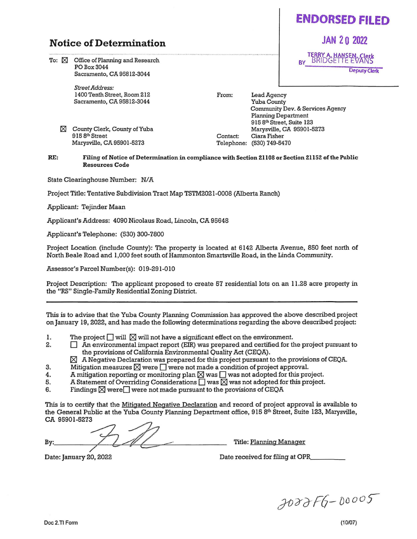## **ENDORSED FILED**

**JAN 2 0 2022** 

Deputy Clerk

TERRY A. HANSEN, Clerk<br>BY\_\_BRIDGETTE EVANS

## **Notice of Determination**

To:  $\boxtimes$  Office of Planning and Research POBox3044 Sacramento, CA 95812-3044

> *Street Address:*  1400 Tenth Street, Room 212 Sacramento, CA 95812-3044

[8J County Clerk, County of Yuba 915 8<sup>th</sup> Street Marysville, CA 95901-5273

From:

Contact: Telephone: (530) **7** 49-54 70 Lead Agency Yuba County Community Dev. & Services Agency Planning Department 915 8th Street, Suite 123 Marysville, CA 95901-5273 Ciara Fisher

**RE: Filing of Notice of Determination** in **compliance with Section 21108 or Section 21152 of the Public Resources Code** 

State Clearinghouse Number: *NI* A

Project Title: Tentative Subdivision Tract Map TSTM2021-0008 (Alberta Ranch)

Applicant: Tejinder Maan

Applicant's Address: 4090 Nicolaus Road, Lincoln, CA 95648

Applicant's Telephone: (530) 300-7800

Project Location (include County): The property is located at 6142 Alberta Avenue, 850 feet north of North Beale Road and 1,000 feet south of Hammonton Smartsville Road, in the Linda Community.

Assessor's ParcelNumber(s): 019-291-010

Project Description: The applicant proposed to create 57 residential lots on an 11.28 acre property in the "RS" Single-Family Residential Zoning District.

This is to advise that the Yuba County Planning Commission has approved the above described project on January 19, 2022, and has made the following determinations regarding the above described project:

- I. The project  $\square$  will  $\square$  will not have a significant effect on the environment.<br>2.  $\square$  An environmental impact report (EIR) was prepared and certified for the
	- An environmental impact report (EIR) was prepared and certified for the project pursuant to the provisions of California Environmental Quality Act (CEQA).
		- $[8]$  A Negative Declaration was prepared for this project pursuant to the provisions of CEQA.
- 3. Mitigation measures  $\boxtimes$  were  $\Box$  were not made a condition of project approval.<br>4. A mitigation reporting or monitoring plan  $\boxtimes$  was  $\Box$  was not adopted for this pro
- 4. A mitigation reporting or monitoring plan  $\boxtimes$  was  $\square$  was not adopted for this project.<br>5. A Statement of Overriding Considerations  $\square$  was  $\boxtimes$  was not adopted for this project.
- 5. A Statement of Overriding Considerations  $\Box$  was  $\boxtimes$  was not adopted for this project.<br>6. Findings  $\boxtimes$  were  $\Box$  were not made pursuant to the provisions of CEOA
- Findings  $\times$  were  $\Box$  were not made pursuant to the provisions of CEQA

This is to certify that the Mitigated Negative Declaration and record of project approval is available to the General Public at the Yuba County Planning Department office, 915 8th Street, Suite 123, Marysville, CA 95901-5273

By: - 5273<br>5273<br>**Figure 2011**<br>Title: <u>Planning Manager</u>

Date: January 20, 2022 **Date received for filing at OPR** 

*J1)acJ'F6-* [)uooS-